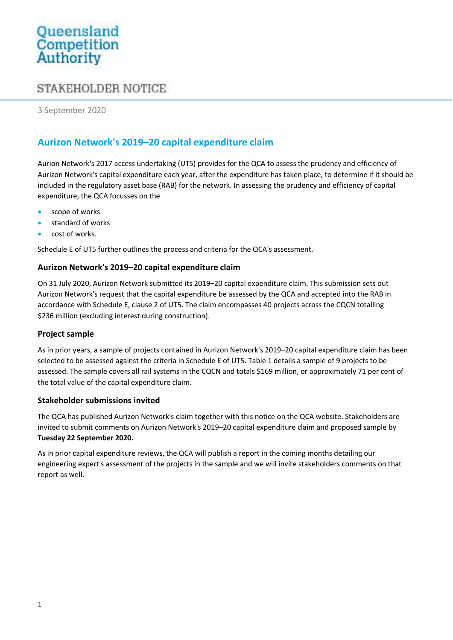# Queensland<br>Competition<br>Authority

## STAKEHOLDER NOTICE

3 September 2020

## Aurizon Network's 2019–20 capital expenditure claim

Aurion Network's 2017 access undertaking (UT5) provides for the QCA to assess the prudency and efficiency of Aurizon Network's capital expenditure each year, after the expenditure has taken place, to determine if it should be included in the regulatory asset base (RAB) for the network. In assessing the prudency and efficiency of capital expenditure, the QCA focusses on the

- scope of works
- standard of works
- cost of works.

Schedule E of UT5 further outlines the process and criteria for the QCA's assessment.

## Aurizon Network's 2019–20 capital expenditure claim

On 31 July 2020, Aurizon Network submitted its 2019–20 capital expenditure claim. This submission sets out Aurizon Network's request that the capital expenditure be assessed by the QCA and accepted into the RAB in accordance with Schedule E, clause 2 of UT5. The claim encompasses 40 projects across the CQCN totalling \$236 million (excluding interest during construction).

## Project sample

As in prior years, a sample of projects contained in Aurizon Network's 2019–20 capital expenditure claim has been selected to be assessed against the criteria in Schedule E of UT5. Table 1 details a sample of 9 projects to be assessed. The sample covers all rail systems in the CQCN and totals \$169 million, or approximately 71 per cent of the total value of the capital expenditure claim.

## Stakeholder submissions invited

The QCA has published Aurizon Network's claim together with this notice on the QCA website. Stakeholders are invited to submit comments on Aurizon Network's 2019–20 capital expenditure claim and proposed sample by Tuesday 22 September 2020.

As in prior capital expenditure reviews, the QCA will publish a report in the coming months detailing our engineering expert's assessment of the projects in the sample and we will invite stakeholders comments on that report as well.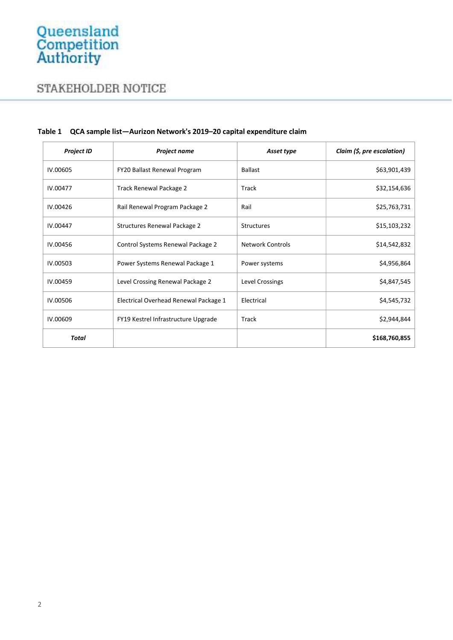# STAKEHOLDER NOTICE

| <b>Project ID</b> | <b>Project name</b>                   | Asset type              | Claim (\$, pre escalation) |
|-------------------|---------------------------------------|-------------------------|----------------------------|
| IV.00605          | FY20 Ballast Renewal Program          | <b>Ballast</b>          | \$63,901,439               |
| IV.00477          | <b>Track Renewal Package 2</b>        | Track                   | \$32,154,636               |
| IV.00426          | Rail Renewal Program Package 2        | Rail                    | \$25,763,731               |
| IV.00447          | Structures Renewal Package 2          | <b>Structures</b>       | \$15,103,232               |
| IV.00456          | Control Systems Renewal Package 2     | <b>Network Controls</b> | \$14,542,832               |
| IV.00503          | Power Systems Renewal Package 1       | Power systems           | \$4,956,864                |
| IV.00459          | Level Crossing Renewal Package 2      | Level Crossings         | \$4,847,545                |
| IV.00506          | Electrical Overhead Renewal Package 1 | Electrical              | \$4,545,732                |
| IV.00609          | FY19 Kestrel Infrastructure Upgrade   | Track                   | \$2,944,844                |
| Total             |                                       |                         | \$168,760,855              |

#### Table 1 QCA sample list—Aurizon Network's 2019–20 capital expenditure claim